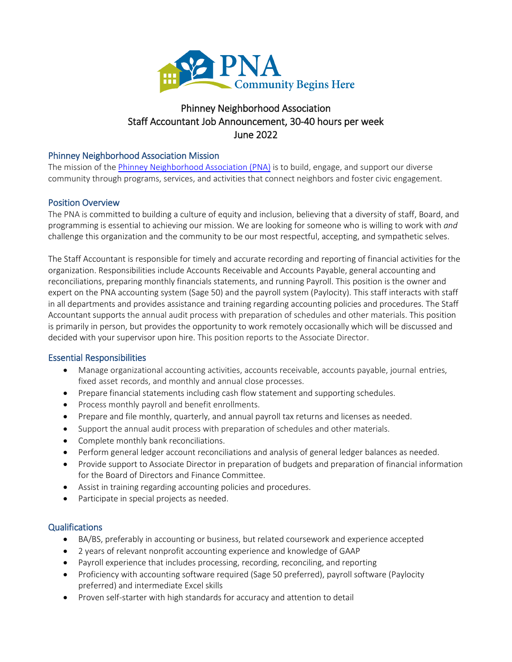

# Phinney Neighborhood Association Staff Accountant Job Announcement, 30-40 hours per week June 2022

### Phinney Neighborhood Association Mission

The mission of th[e Phinney Neighborhood Association \(PNA\)](http://www.phinneycenter.org/) is to build, engage, and support our diverse community through programs, services, and activities that connect neighbors and foster civic engagement.

## Position Overview

The PNA is committed to building a culture of equity and inclusion, believing that a diversity of staff, Board, and programming is essential to achieving our mission. We are looking for someone who is willing to work with *and* challenge this organization and the community to be our most respectful, accepting, and sympathetic selves.

The Staff Accountant is responsible for timely and accurate recording and reporting of financial activities for the organization. Responsibilities include Accounts Receivable and Accounts Payable, general accounting and reconciliations, preparing monthly financials statements, and running Payroll. This position is the owner and expert on the PNA accounting system (Sage 50) and the payroll system (Paylocity). This staff interacts with staff in all departments and provides assistance and training regarding accounting policies and procedures. The Staff Accountant supports the annual audit process with preparation of schedules and other materials. This position is primarily in person, but provides the opportunity to work remotely occasionally which will be discussed and decided with your supervisor upon hire. This position reports to the Associate Director.

#### Essential Responsibilities

- Manage organizational accounting activities, accounts receivable, accounts payable, journal entries, fixed asset records, and monthly and annual close processes.
- Prepare financial statements including cash flow statement and supporting schedules.
- Process monthly payroll and benefit enrollments.
- Prepare and file monthly, quarterly, and annual payroll tax returns and licenses as needed.
- Support the annual audit process with preparation of schedules and other materials.
- Complete monthly bank reconciliations.
- Perform general ledger account reconciliations and analysis of general ledger balances as needed.
- Provide support to Associate Director in preparation of budgets and preparation of financial information for the Board of Directors and Finance Committee.
- Assist in training regarding accounting policies and procedures.
- Participate in special projects as needed.

#### Qualifications

- BA/BS, preferably in accounting or business, but related coursework and experience accepted
- 2 years of relevant nonprofit accounting experience and knowledge of GAAP
- Payroll experience that includes processing, recording, reconciling, and reporting
- Proficiency with accounting software required (Sage 50 preferred), payroll software (Paylocity preferred) and intermediate Excel skills
- Proven self-starter with high standards for accuracy and attention to detail